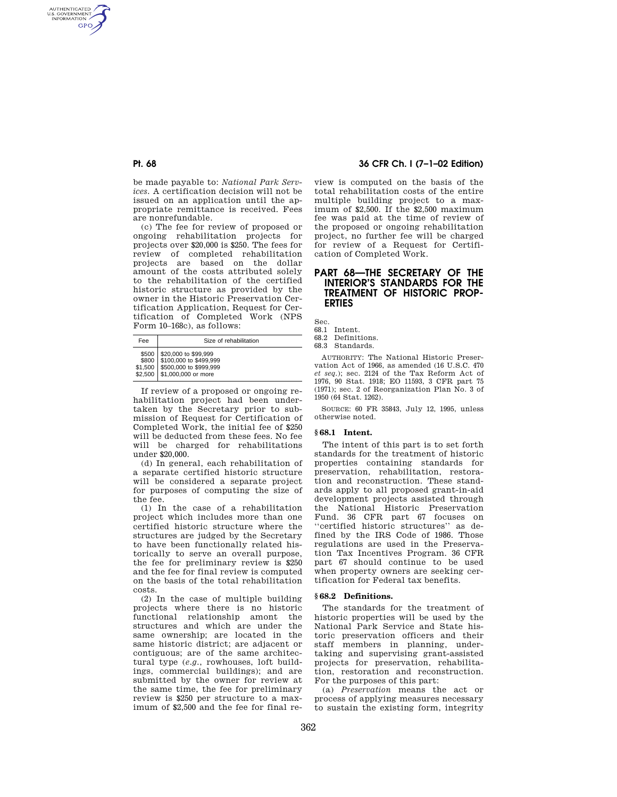AUTHENTICATED<br>U.S. GOVERNMENT<br>INFORMATION GPO

> be made payable to: *National Park Services.* A certification decision will not be issued on an application until the appropriate remittance is received. Fees are nonrefundable.

> (c) The fee for review of proposed or ongoing rehabilitation projects for projects over \$20,000 is \$250. The fees for review of completed rehabilitation projects are based on the dollar amount of the costs attributed solely to the rehabilitation of the certified historic structure as provided by the owner in the Historic Preservation Certification Application, Request for Certification of Completed Work (NPS Form 10–168c), as follows:

| Fee     | Size of rehabilitation |
|---------|------------------------|
| \$500   | \$20,000 to \$99,999   |
| \$800   | \$100,000 to \$499,999 |
| \$1.500 | \$500,000 to \$999,999 |
| \$2.500 | \$1,000,000 or more    |

If review of a proposed or ongoing rehabilitation project had been undertaken by the Secretary prior to submission of Request for Certification of Completed Work, the initial fee of \$250 will be deducted from these fees. No fee will be charged for rehabilitations under \$20,000.

(d) In general, each rehabilitation of a separate certified historic structure will be considered a separate project for purposes of computing the size of the fee.

(1) In the case of a rehabilitation project which includes more than one certified historic structure where the structures are judged by the Secretary to have been functionally related historically to serve an overall purpose, the fee for preliminary review is \$250 and the fee for final review is computed on the basis of the total rehabilitation costs.

(2) In the case of multiple building projects where there is no historic functional relationship amont the structures and which are under the same ownership; are located in the same historic district; are adjacent or contiguous; are of the same architectural type (*e.g.*, rowhouses, loft buildings, commercial buildings); and are submitted by the owner for review at the same time, the fee for preliminary review is \$250 per structure to a maximum of \$2,500 and the fee for final re-

# **Pt. 68 36 CFR Ch. I (7–1–02 Edition)**

view is computed on the basis of the total rehabilitation costs of the entire multiple building project to a maximum of \$2,500. If the \$2,500 maximum fee was paid at the time of review of the proposed or ongoing rehabilitation project, no further fee will be charged for review of a Request for Certification of Completed Work.

## **PART 68—THE SECRETARY OF THE INTERIOR'S STANDARDS FOR THE TREATMENT OF HISTORIC PROP-ERTIES**

Sec.

- 68.1 Intent. 68.2 Definitions.
- 68.3 Standards.
- 

AUTHORITY: The National Historic Preservation Act of 1966, as amended (16 U.S.C. 470 *et seq.*); sec. 2124 of the Tax Reform Act of 1976, 90 Stat. 1918; EO 11593, 3 CFR part 75 (1971); sec. 2 of Reorganization Plan No. 3 of 1950 (64 Stat. 1262).

SOURCE: 60 FR 35843, July 12, 1995, unless otherwise noted.

#### **§ 68.1 Intent.**

The intent of this part is to set forth standards for the treatment of historic properties containing standards for preservation, rehabilitation, restoration and reconstruction. These standards apply to all proposed grant-in-aid development projects assisted through the National Historic Preservation Fund. 36 CFR part 67 focuses on ''certified historic structures'' as defined by the IRS Code of 1986. Those regulations are used in the Preservation Tax Incentives Program. 36 CFR part 67 should continue to be used when property owners are seeking certification for Federal tax benefits.

#### **§ 68.2 Definitions.**

The standards for the treatment of historic properties will be used by the National Park Service and State historic preservation officers and their staff members in planning, undertaking and supervising grant-assisted projects for preservation, rehabilitation, restoration and reconstruction. For the purposes of this part:

(a) *Preservation* means the act or process of applying measures necessary to sustain the existing form, integrity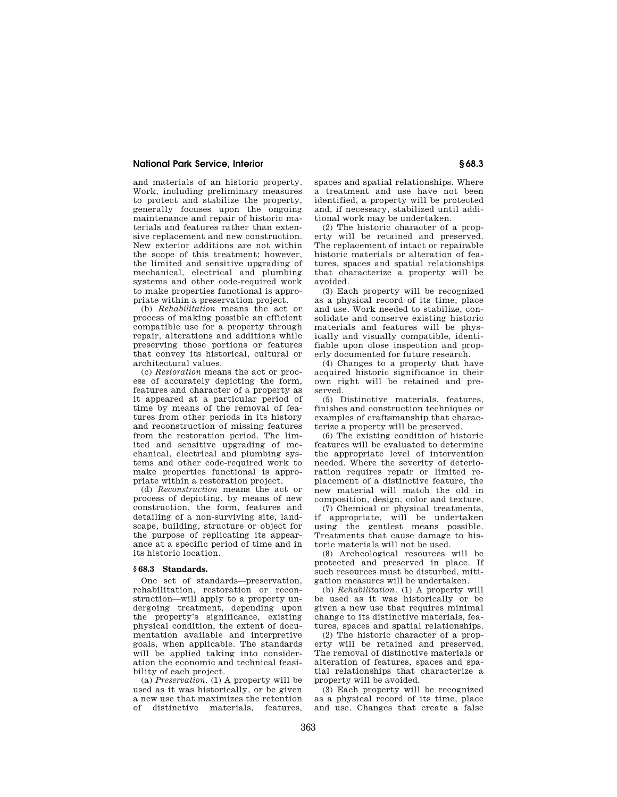## **National Park Service, Interior § 68.3**

and materials of an historic property. Work, including preliminary measures to protect and stabilize the property, generally focuses upon the ongoing maintenance and repair of historic materials and features rather than extensive replacement and new construction. New exterior additions are not within the scope of this treatment; however, the limited and sensitive upgrading of mechanical, electrical and plumbing systems and other code-required work to make properties functional is appropriate within a preservation project.

(b) *Rehabilitation* means the act or process of making possible an efficient compatible use for a property through repair, alterations and additions while preserving those portions or features that convey its historical, cultural or architectural values.

(c) *Restoration* means the act or process of accurately depicting the form, features and character of a property as it appeared at a particular period of time by means of the removal of features from other periods in its history and reconstruction of missing features from the restoration period. The limited and sensitive upgrading of mechanical, electrical and plumbing systems and other code-required work to make properties functional is appropriate within a restoration project.

(d) *Reconstruction* means the act or process of depicting, by means of new construction, the form, features and detailing of a non-surviving site, landscape, building, structure or object for the purpose of replicating its appearance at a specific period of time and in its historic location.

## **§ 68.3 Standards.**

One set of standards—preservation, rehabilitation, restoration or reconstruction—will apply to a property undergoing treatment, depending upon the property's significance, existing physical condition, the extent of documentation available and interpretive goals, when applicable. The standards will be applied taking into consideration the economic and technical feasibility of each project.

(a) *Preservation.* (1) A property will be used as it was historically, or be given a new use that maximizes the retention<br>of distinctive materials features distinctive materials, features spaces and spatial relationships. Where a treatment and use have not been identified, a property will be protected and, if necessary, stabilized until additional work may be undertaken.

(2) The historic character of a property will be retained and preserved. The replacement of intact or repairable historic materials or alteration of features, spaces and spatial relationships that characterize a property will be avoided.

(3) Each property will be recognized as a physical record of its time, place and use. Work needed to stabilize, consolidate and conserve existing historic materials and features will be physically and visually compatible, identifiable upon close inspection and properly documented for future research.

(4) Changes to a property that have acquired historic significance in their own right will be retained and preserved.

(5) Distinctive materials, features, finishes and construction techniques or examples of craftsmanship that characterize a property will be preserved.

(6) The existing condition of historic features will be evaluated to determine the appropriate level of intervention needed. Where the severity of deterioration requires repair or limited replacement of a distinctive feature, the new material will match the old in composition, design, color and texture.

(7) Chemical or physical treatments, if appropriate, will be undertaken using the gentlest means possible. Treatments that cause damage to historic materials will not be used.

(8) Archeological resources will be protected and preserved in place. If such resources must be disturbed, mitigation measures will be undertaken.

(b) *Rehabilitation.* (1) A property will be used as it was historically or be given a new use that requires minimal change to its distinctive materials, features, spaces and spatial relationships.

(2) The historic character of a property will be retained and preserved. The removal of distinctive materials or alteration of features, spaces and spatial relationships that characterize a property will be avoided.

(3) Each property will be recognized as a physical record of its time, place and use. Changes that create a false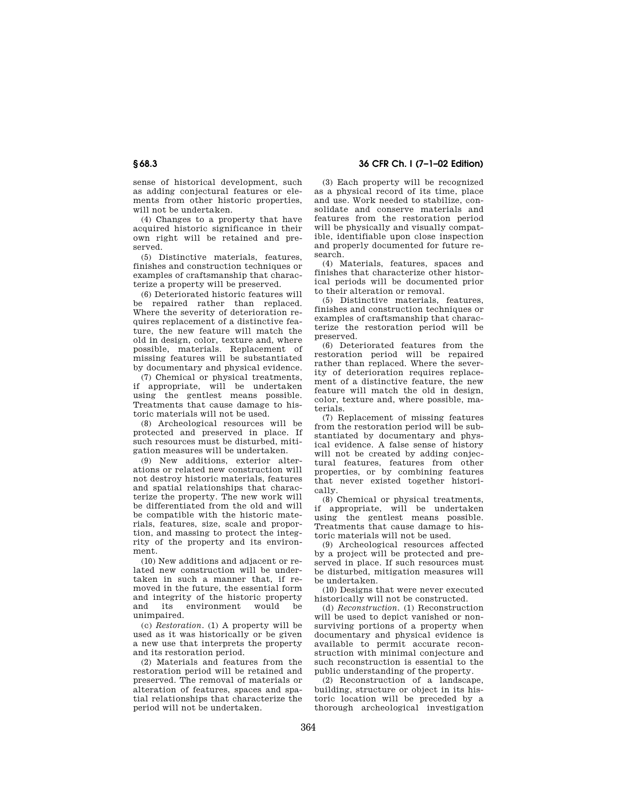sense of historical development, such as adding conjectural features or elements from other historic properties, will not be undertaken.

(4) Changes to a property that have acquired historic significance in their own right will be retained and preserved.

(5) Distinctive materials, features, finishes and construction techniques or examples of craftsmanship that characterize a property will be preserved.

(6) Deteriorated historic features will be repaired rather than replaced. Where the severity of deterioration requires replacement of a distinctive feature, the new feature will match the old in design, color, texture and, where possible, materials. Replacement of missing features will be substantiated by documentary and physical evidence.

(7) Chemical or physical treatments, if appropriate, will be undertaken using the gentlest means possible. Treatments that cause damage to historic materials will not be used.

(8) Archeological resources will be protected and preserved in place. If such resources must be disturbed, mitigation measures will be undertaken.

(9) New additions, exterior alterations or related new construction will not destroy historic materials, features and spatial relationships that characterize the property. The new work will be differentiated from the old and will be compatible with the historic materials, features, size, scale and proportion, and massing to protect the integrity of the property and its environment.

(10) New additions and adjacent or related new construction will be undertaken in such a manner that, if removed in the future, the essential form and integrity of the historic property<br>and its environment would be environment would be unimpaired.

(c) *Restoration.* (1) A property will be used as it was historically or be given a new use that interprets the property and its restoration period.

(2) Materials and features from the restoration period will be retained and preserved. The removal of materials or alteration of features, spaces and spatial relationships that characterize the period will not be undertaken.

**§ 68.3 36 CFR Ch. I (7–1–02 Edition)**

(3) Each property will be recognized as a physical record of its time, place and use. Work needed to stabilize, consolidate and conserve materials and features from the restoration period will be physically and visually compatible, identifiable upon close inspection and properly documented for future research.

(4) Materials, features, spaces and finishes that characterize other historical periods will be documented prior to their alteration or removal.

(5) Distinctive materials, features, finishes and construction techniques or examples of craftsmanship that characterize the restoration period will be preserved.

(6) Deteriorated features from the restoration period will be repaired rather than replaced. Where the severity of deterioration requires replacement of a distinctive feature, the new feature will match the old in design, color, texture and, where possible, materials.

(7) Replacement of missing features from the restoration period will be substantiated by documentary and physical evidence. A false sense of history will not be created by adding conjectural features, features from other properties, or by combining features that never existed together historically.

(8) Chemical or physical treatments, if appropriate, will be undertaken using the gentlest means possible. Treatments that cause damage to historic materials will not be used.

(9) Archeological resources affected by a project will be protected and preserved in place. If such resources must be disturbed, mitigation measures will be undertaken.

(10) Designs that were never executed historically will not be constructed.

(d) *Reconstruction.* (1) Reconstruction will be used to depict vanished or nonsurviving portions of a property when documentary and physical evidence is available to permit accurate reconstruction with minimal conjecture and such reconstruction is essential to the public understanding of the property.

(2) Reconstruction of a landscape, building, structure or object in its historic location will be preceded by a thorough archeological investigation